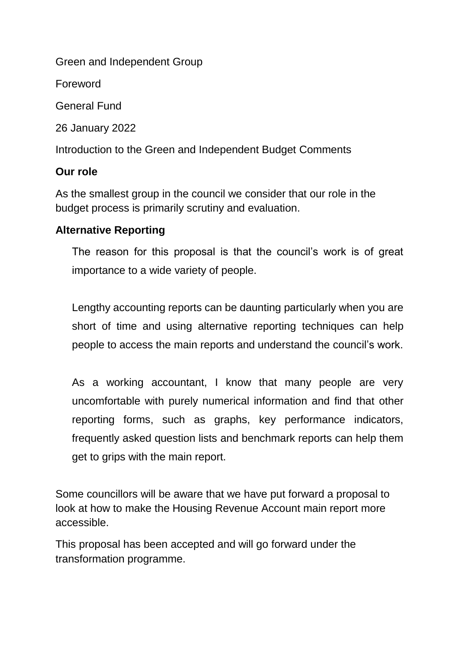Green and Independent Group

Foreword

General Fund

26 January 2022

Introduction to the Green and Independent Budget Comments

### **Our role**

As the smallest group in the council we consider that our role in the budget process is primarily scrutiny and evaluation.

### **Alternative Reporting**

The reason for this proposal is that the council's work is of great importance to a wide variety of people.

Lengthy accounting reports can be daunting particularly when you are short of time and using alternative reporting techniques can help people to access the main reports and understand the council's work.

As a working accountant, I know that many people are very uncomfortable with purely numerical information and find that other reporting forms, such as graphs, key performance indicators, frequently asked question lists and benchmark reports can help them get to grips with the main report.

Some councillors will be aware that we have put forward a proposal to look at how to make the Housing Revenue Account main report more accessible.

This proposal has been accepted and will go forward under the transformation programme.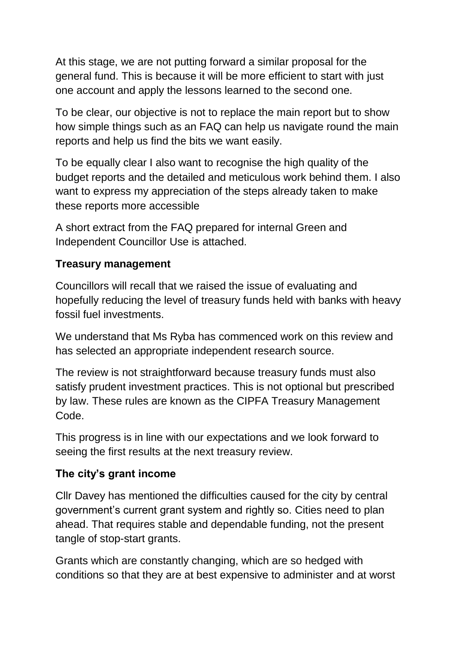At this stage, we are not putting forward a similar proposal for the general fund. This is because it will be more efficient to start with just one account and apply the lessons learned to the second one.

To be clear, our objective is not to replace the main report but to show how simple things such as an FAQ can help us navigate round the main reports and help us find the bits we want easily.

To be equally clear I also want to recognise the high quality of the budget reports and the detailed and meticulous work behind them. I also want to express my appreciation of the steps already taken to make these reports more accessible

A short extract from the FAQ prepared for internal Green and Independent Councillor Use is attached.

# **Treasury management**

Councillors will recall that we raised the issue of evaluating and hopefully reducing the level of treasury funds held with banks with heavy fossil fuel investments.

We understand that Ms Ryba has commenced work on this review and has selected an appropriate independent research source.

The review is not straightforward because treasury funds must also satisfy prudent investment practices. This is not optional but prescribed by law. These rules are known as the CIPFA Treasury Management Code.

This progress is in line with our expectations and we look forward to seeing the first results at the next treasury review.

# **The city's grant income**

Cllr Davey has mentioned the difficulties caused for the city by central government's current grant system and rightly so. Cities need to plan ahead. That requires stable and dependable funding, not the present tangle of stop-start grants.

Grants which are constantly changing, which are so hedged with conditions so that they are at best expensive to administer and at worst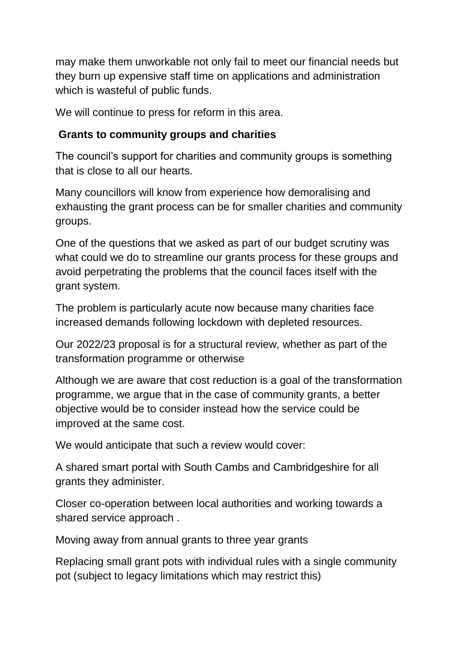may make them unworkable not only fail to meet our financial needs but they burn up expensive staff time on applications and administration which is wasteful of public funds.

We will continue to press for reform in this area.

### **Grants to community groups and charities**

The council's support for charities and community groups is something that is close to all our hearts.

Many councillors will know from experience how demoralising and exhausting the grant process can be for smaller charities and community groups.

One of the questions that we asked as part of our budget scrutiny was what could we do to streamline our grants process for these groups and avoid perpetrating the problems that the council faces itself with the grant system.

The problem is particularly acute now because many charities face increased demands following lockdown with depleted resources.

Our 2022/23 proposal is for a structural review, whether as part of the transformation programme or otherwise

Although we are aware that cost reduction is a goal of the transformation programme, we argue that in the case of community grants, a better objective would be to consider instead how the service could be improved at the same cost.

We would anticipate that such a review would cover:

A shared smart portal with South Cambs and Cambridgeshire for all grants they administer.

Closer co-operation between local authorities and working towards a shared service approach .

Moving away from annual grants to three year grants

Replacing small grant pots with individual rules with a single community pot (subject to legacy limitations which may restrict this)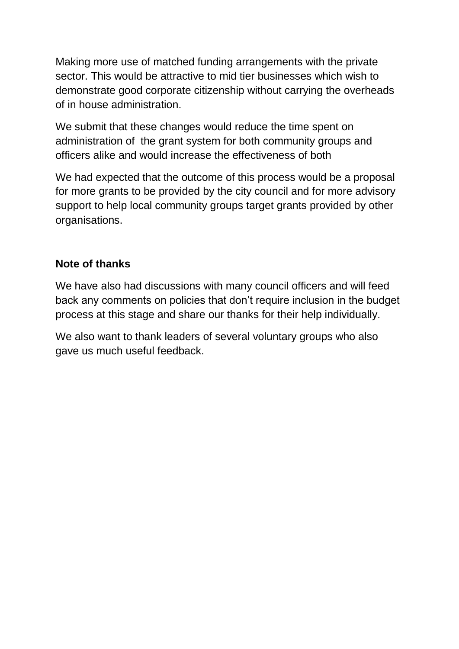Making more use of matched funding arrangements with the private sector. This would be attractive to mid tier businesses which wish to demonstrate good corporate citizenship without carrying the overheads of in house administration.

We submit that these changes would reduce the time spent on administration of the grant system for both community groups and officers alike and would increase the effectiveness of both

We had expected that the outcome of this process would be a proposal for more grants to be provided by the city council and for more advisory support to help local community groups target grants provided by other organisations.

# **Note of thanks**

We have also had discussions with many council officers and will feed back any comments on policies that don't require inclusion in the budget process at this stage and share our thanks for their help individually.

We also want to thank leaders of several voluntary groups who also gave us much useful feedback.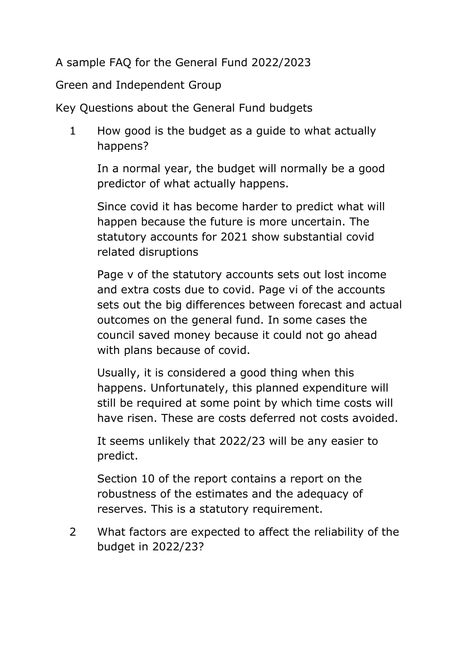A sample FAQ for the General Fund 2022/2023

Green and Independent Group

Key Questions about the General Fund budgets

1 How good is the budget as a guide to what actually happens?

In a normal year, the budget will normally be a good predictor of what actually happens.

Since covid it has become harder to predict what will happen because the future is more uncertain. The statutory accounts for 2021 show substantial covid related disruptions

Page v of the statutory accounts sets out lost income and extra costs due to covid. Page vi of the accounts sets out the big differences between forecast and actual outcomes on the general fund. In some cases the council saved money because it could not go ahead with plans because of covid.

Usually, it is considered a good thing when this happens. Unfortunately, this planned expenditure will still be required at some point by which time costs will have risen. These are costs deferred not costs avoided.

It seems unlikely that 2022/23 will be any easier to predict.

Section 10 of the report contains a report on the robustness of the estimates and the adequacy of reserves. This is a statutory requirement.

2 What factors are expected to affect the reliability of the budget in 2022/23?